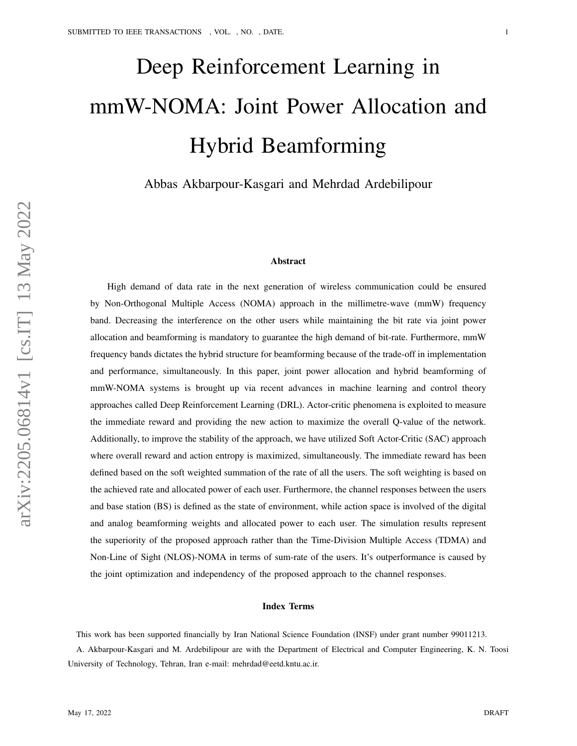# Deep Reinforcement Learning in mmW-NOMA: Joint Power Allocation and Hybrid Beamforming

Abbas Akbarpour-Kasgari and Mehrdad Ardebilipour

### Abstract

High demand of data rate in the next generation of wireless communication could be ensured by Non-Orthogonal Multiple Access (NOMA) approach in the millimetre-wave (mmW) frequency band. Decreasing the interference on the other users while maintaining the bit rate via joint power allocation and beamforming is mandatory to guarantee the high demand of bit-rate. Furthermore, mmW frequency bands dictates the hybrid structure for beamforming because of the trade-off in implementation and performance, simultaneously. In this paper, joint power allocation and hybrid beamforming of mmW-NOMA systems is brought up via recent advances in machine learning and control theory approaches called Deep Reinforcement Learning (DRL). Actor-critic phenomena is exploited to measure the immediate reward and providing the new action to maximize the overall Q-value of the network. Additionally, to improve the stability of the approach, we have utilized Soft Actor-Critic (SAC) approach where overall reward and action entropy is maximized, simultaneously. The immediate reward has been defined based on the soft weighted summation of the rate of all the users. The soft weighting is based on the achieved rate and allocated power of each user. Furthermore, the channel responses between the users and base station (BS) is defined as the state of environment, while action space is involved of the digital and analog beamforming weights and allocated power to each user. The simulation results represent the superiority of the proposed approach rather than the Time-Division Multiple Access (TDMA) and Non-Line of Sight (NLOS)-NOMA in terms of sum-rate of the users. It's outperformance is caused by the joint optimization and independency of the proposed approach to the channel responses.

#### Index Terms

This work has been supported financially by Iran National Science Foundation (INSF) under grant number 99011213. A. Akbarpour-Kasgari and M. Ardebilipour are with the Department of Electrical and Computer Engineering, K. N. Toosi University of Technology, Tehran, Iran e-mail: mehrdad@eetd.kntu.ac.ir.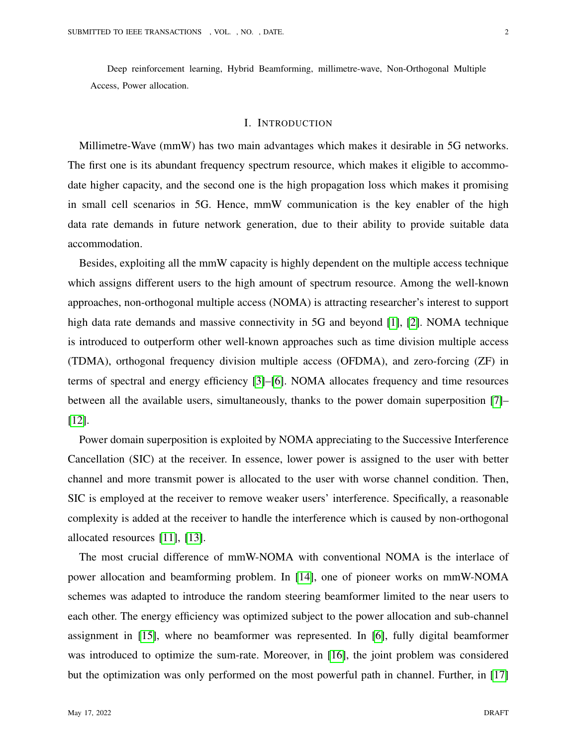Deep reinforcement learning, Hybrid Beamforming, millimetre-wave, Non-Orthogonal Multiple Access, Power allocation.

## I. INTRODUCTION

Millimetre-Wave (mmW) has two main advantages which makes it desirable in 5G networks. The first one is its abundant frequency spectrum resource, which makes it eligible to accommodate higher capacity, and the second one is the high propagation loss which makes it promising in small cell scenarios in 5G. Hence, mmW communication is the key enabler of the high data rate demands in future network generation, due to their ability to provide suitable data accommodation.

Besides, exploiting all the mmW capacity is highly dependent on the multiple access technique which assigns different users to the high amount of spectrum resource. Among the well-known approaches, non-orthogonal multiple access (NOMA) is attracting researcher's interest to support high data rate demands and massive connectivity in 5G and beyond [\[1\]](#page-16-0), [\[2\]](#page-17-0). NOMA technique is introduced to outperform other well-known approaches such as time division multiple access (TDMA), orthogonal frequency division multiple access (OFDMA), and zero-forcing (ZF) in terms of spectral and energy efficiency [\[3\]](#page-17-1)–[\[6\]](#page-17-2). NOMA allocates frequency and time resources between all the available users, simultaneously, thanks to the power domain superposition [\[7\]](#page-17-3)– [\[12\]](#page-18-0).

Power domain superposition is exploited by NOMA appreciating to the Successive Interference Cancellation (SIC) at the receiver. In essence, lower power is assigned to the user with better channel and more transmit power is allocated to the user with worse channel condition. Then, SIC is employed at the receiver to remove weaker users' interference. Specifically, a reasonable complexity is added at the receiver to handle the interference which is caused by non-orthogonal allocated resources [\[11\]](#page-18-1), [\[13\]](#page-18-2).

The most crucial difference of mmW-NOMA with conventional NOMA is the interlace of power allocation and beamforming problem. In [\[14\]](#page-18-3), one of pioneer works on mmW-NOMA schemes was adapted to introduce the random steering beamformer limited to the near users to each other. The energy efficiency was optimized subject to the power allocation and sub-channel assignment in [\[15\]](#page-18-4), where no beamformer was represented. In [\[6\]](#page-17-2), fully digital beamformer was introduced to optimize the sum-rate. Moreover, in [\[16\]](#page-18-5), the joint problem was considered but the optimization was only performed on the most powerful path in channel. Further, in [\[17\]](#page-18-6)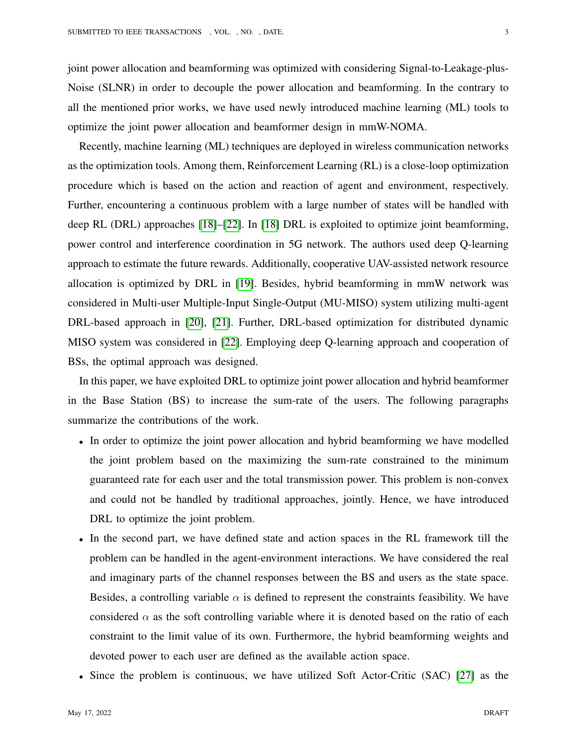joint power allocation and beamforming was optimized with considering Signal-to-Leakage-plus-Noise (SLNR) in order to decouple the power allocation and beamforming. In the contrary to all the mentioned prior works, we have used newly introduced machine learning (ML) tools to optimize the joint power allocation and beamformer design in mmW-NOMA.

Recently, machine learning (ML) techniques are deployed in wireless communication networks as the optimization tools. Among them, Reinforcement Learning (RL) is a close-loop optimization procedure which is based on the action and reaction of agent and environment, respectively. Further, encountering a continuous problem with a large number of states will be handled with deep RL (DRL) approaches [\[18\]](#page-18-7)–[\[22\]](#page-18-8). In [\[18\]](#page-18-7) DRL is exploited to optimize joint beamforming, power control and interference coordination in 5G network. The authors used deep Q-learning approach to estimate the future rewards. Additionally, cooperative UAV-assisted network resource allocation is optimized by DRL in [\[19\]](#page-18-9). Besides, hybrid beamforming in mmW network was considered in Multi-user Multiple-Input Single-Output (MU-MISO) system utilizing multi-agent DRL-based approach in [\[20\]](#page-18-10), [\[21\]](#page-18-11). Further, DRL-based optimization for distributed dynamic MISO system was considered in [\[22\]](#page-18-8). Employing deep Q-learning approach and cooperation of BSs, the optimal approach was designed.

In this paper, we have exploited DRL to optimize joint power allocation and hybrid beamformer in the Base Station (BS) to increase the sum-rate of the users. The following paragraphs summarize the contributions of the work.

- In order to optimize the joint power allocation and hybrid beamforming we have modelled the joint problem based on the maximizing the sum-rate constrained to the minimum guaranteed rate for each user and the total transmission power. This problem is non-convex and could not be handled by traditional approaches, jointly. Hence, we have introduced DRL to optimize the joint problem.
- In the second part, we have defined state and action spaces in the RL framework till the problem can be handled in the agent-environment interactions. We have considered the real and imaginary parts of the channel responses between the BS and users as the state space. Besides, a controlling variable  $\alpha$  is defined to represent the constraints feasibility. We have considered  $\alpha$  as the soft controlling variable where it is denoted based on the ratio of each constraint to the limit value of its own. Furthermore, the hybrid beamforming weights and devoted power to each user are defined as the available action space.
- Since the problem is continuous, we have utilized Soft Actor-Critic (SAC) [\[27\]](#page-19-0) as the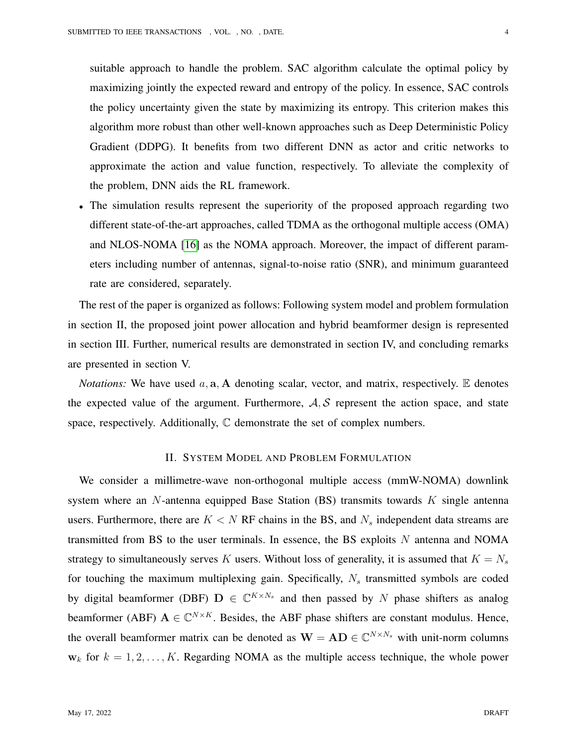suitable approach to handle the problem. SAC algorithm calculate the optimal policy by maximizing jointly the expected reward and entropy of the policy. In essence, SAC controls the policy uncertainty given the state by maximizing its entropy. This criterion makes this algorithm more robust than other well-known approaches such as Deep Deterministic Policy Gradient (DDPG). It benefits from two different DNN as actor and critic networks to approximate the action and value function, respectively. To alleviate the complexity of the problem, DNN aids the RL framework.

• The simulation results represent the superiority of the proposed approach regarding two different state-of-the-art approaches, called TDMA as the orthogonal multiple access (OMA) and NLOS-NOMA [\[16\]](#page-18-5) as the NOMA approach. Moreover, the impact of different parameters including number of antennas, signal-to-noise ratio (SNR), and minimum guaranteed rate are considered, separately.

The rest of the paper is organized as follows: Following system model and problem formulation in section II, the proposed joint power allocation and hybrid beamformer design is represented in section III. Further, numerical results are demonstrated in section IV, and concluding remarks are presented in section V.

*Notations:* We have used  $a$ ,  $a$ ,  $A$  denoting scalar, vector, and matrix, respectively.  $E$  denotes the expected value of the argument. Furthermore,  $A, S$  represent the action space, and state space, respectively. Additionally,  $\mathbb C$  demonstrate the set of complex numbers.

# II. SYSTEM MODEL AND PROBLEM FORMULATION

We consider a millimetre-wave non-orthogonal multiple access (mmW-NOMA) downlink system where an  $N$ -antenna equipped Base Station (BS) transmits towards  $K$  single antenna users. Furthermore, there are  $K < N$  RF chains in the BS, and  $N_s$  independent data streams are transmitted from BS to the user terminals. In essence, the BS exploits  $N$  antenna and NOMA strategy to simultaneously serves K users. Without loss of generality, it is assumed that  $K = N_s$ for touching the maximum multiplexing gain. Specifically,  $N_s$  transmitted symbols are coded by digital beamformer (DBF)  $D \in \mathbb{C}^{K \times N_s}$  and then passed by N phase shifters as analog beamformer (ABF)  $A \in \mathbb{C}^{N \times K}$ . Besides, the ABF phase shifters are constant modulus. Hence, the overall beamformer matrix can be denoted as  $\mathbf{W} = \mathbf{A} \mathbf{D} \in \mathbb{C}^{N \times N_s}$  with unit-norm columns  $w_k$  for  $k = 1, 2, \ldots, K$ . Regarding NOMA as the multiple access technique, the whole power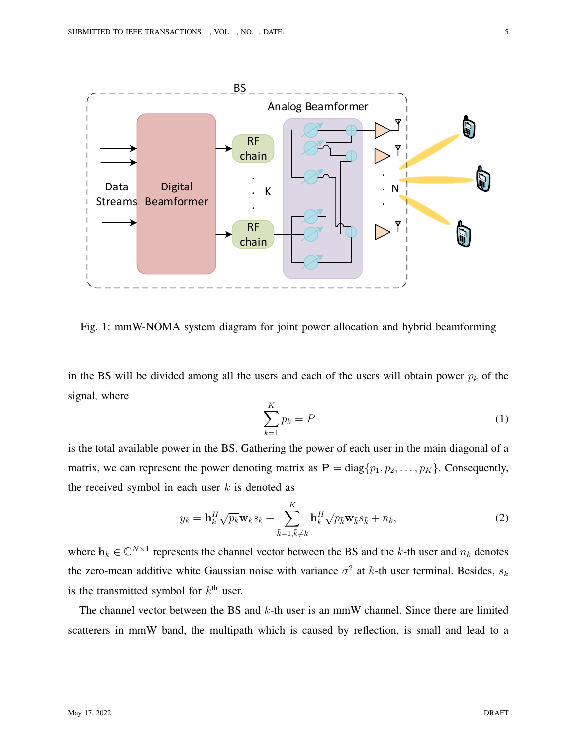

Fig. 1: mmW-NOMA system diagram for joint power allocation and hybrid beamforming

in the BS will be divided among all the users and each of the users will obtain power  $p_k$  of the signal, where

$$
\sum_{k=1}^{K} p_k = P \tag{1}
$$

is the total available power in the BS. Gathering the power of each user in the main diagonal of a matrix, we can represent the power denoting matrix as  $P = diag\{p_1, p_2, \ldots, p_K\}$ . Consequently, the received symbol in each user  $k$  is denoted as

$$
y_k = \mathbf{h}_k^H \sqrt{p_k} \mathbf{w}_k s_k + \sum_{\bar{k}=1, \bar{k} \neq k}^K \mathbf{h}_k^H \sqrt{p_{\bar{k}}} \mathbf{w}_{\bar{k}} s_{\bar{k}} + n_k, \tag{2}
$$

where  $\mathbf{h}_k \in \mathbb{C}^{N \times 1}$  represents the channel vector between the BS and the k-th user and  $n_k$  denotes the zero-mean additive white Gaussian noise with variance  $\sigma^2$  at k-th user terminal. Besides,  $s_k$ is the transmitted symbol for  $k<sup>th</sup>$  user.

The channel vector between the BS and k-th user is an mmW channel. Since there are limited scatterers in mmW band, the multipath which is caused by reflection, is small and lead to a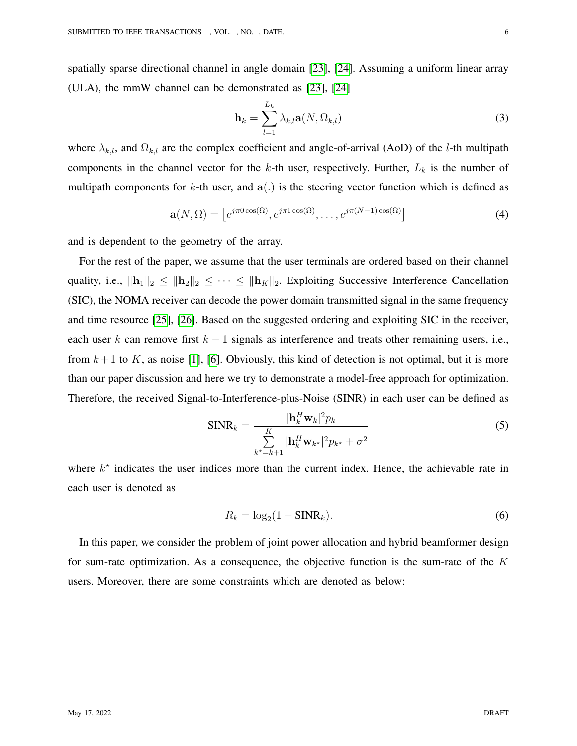spatially sparse directional channel in angle domain [\[23\]](#page-18-12), [\[24\]](#page-18-13). Assuming a uniform linear array (ULA), the mmW channel can be demonstrated as [\[23\]](#page-18-12), [\[24\]](#page-18-13)

$$
\mathbf{h}_{k} = \sum_{l=1}^{L_{k}} \lambda_{k,l} \mathbf{a}(N, \Omega_{k,l})
$$
\n(3)

where  $\lambda_{k,l}$ , and  $\Omega_{k,l}$  are the complex coefficient and angle-of-arrival (AoD) of the *l*-th multipath components in the channel vector for the k-th user, respectively. Further,  $L_k$  is the number of multipath components for k-th user, and  $a(.)$  is the steering vector function which is defined as

$$
\mathbf{a}(N,\Omega) = \left[e^{j\pi 0\cos(\Omega)}, e^{j\pi 1\cos(\Omega)}, \dots, e^{j\pi(N-1)\cos(\Omega)}\right]
$$
(4)

and is dependent to the geometry of the array.

For the rest of the paper, we assume that the user terminals are ordered based on their channel quality, i.e.,  $\|\mathbf{h}_1\|_2 \leq \|\mathbf{h}_2\|_2 \leq \cdots \leq \|\mathbf{h}_K\|_2$ . Exploiting Successive Interference Cancellation (SIC), the NOMA receiver can decode the power domain transmitted signal in the same frequency and time resource [\[25\]](#page-18-14), [\[26\]](#page-19-1). Based on the suggested ordering and exploiting SIC in the receiver, each user k can remove first  $k - 1$  signals as interference and treats other remaining users, i.e., from  $k+1$  to K, as noise [\[1\]](#page-16-0), [\[6\]](#page-17-2). Obviously, this kind of detection is not optimal, but it is more than our paper discussion and here we try to demonstrate a model-free approach for optimization. Therefore, the received Signal-to-Interference-plus-Noise (SINR) in each user can be defined as

$$
\text{SINR}_k = \frac{|\mathbf{h}_k^H \mathbf{w}_k|^2 p_k}{\sum\limits_{k^* = k+1}^K |\mathbf{h}_k^H \mathbf{w}_{k^*}|^2 p_{k^*} + \sigma^2}
$$
(5)

where  $k^*$  indicates the user indices more than the current index. Hence, the achievable rate in each user is denoted as

$$
R_k = \log_2(1 + \text{SINR}_k). \tag{6}
$$

In this paper, we consider the problem of joint power allocation and hybrid beamformer design for sum-rate optimization. As a consequence, the objective function is the sum-rate of the  $K$ users. Moreover, there are some constraints which are denoted as below: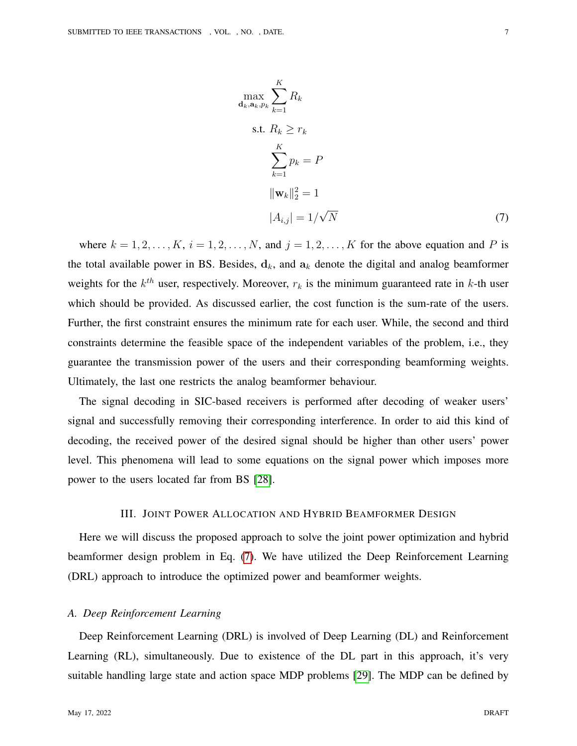<span id="page-6-0"></span> $\bar{\mathbf{d}}_k$ 

$$
\max_{k, \mathbf{a}_k, p_k} \sum_{k=1}^{K} R_k
$$
\n
$$
\text{s.t. } R_k \ge r_k
$$
\n
$$
\sum_{k=1}^{K} p_k = P
$$
\n
$$
||\mathbf{w}_k||_2^2 = 1
$$
\n
$$
|A_{i,j}| = 1/\sqrt{N}
$$
\n(7)

where  $k = 1, 2, \ldots, K$ ,  $i = 1, 2, \ldots, N$ , and  $j = 1, 2, \ldots, K$  for the above equation and P is the total available power in BS. Besides,  $\mathbf{d}_k$ , and  $\mathbf{a}_k$  denote the digital and analog beamformer weights for the  $k^{th}$  user, respectively. Moreover,  $r_k$  is the minimum guaranteed rate in k-th user which should be provided. As discussed earlier, the cost function is the sum-rate of the users. Further, the first constraint ensures the minimum rate for each user. While, the second and third constraints determine the feasible space of the independent variables of the problem, i.e., they guarantee the transmission power of the users and their corresponding beamforming weights. Ultimately, the last one restricts the analog beamformer behaviour.

The signal decoding in SIC-based receivers is performed after decoding of weaker users' signal and successfully removing their corresponding interference. In order to aid this kind of decoding, the received power of the desired signal should be higher than other users' power level. This phenomena will lead to some equations on the signal power which imposes more power to the users located far from BS [\[28\]](#page-19-2).

### III. JOINT POWER ALLOCATION AND HYBRID BEAMFORMER DESIGN

Here we will discuss the proposed approach to solve the joint power optimization and hybrid beamformer design problem in Eq. [\(7\)](#page-6-0). We have utilized the Deep Reinforcement Learning (DRL) approach to introduce the optimized power and beamformer weights.

## *A. Deep Reinforcement Learning*

Deep Reinforcement Learning (DRL) is involved of Deep Learning (DL) and Reinforcement Learning (RL), simultaneously. Due to existence of the DL part in this approach, it's very suitable handling large state and action space MDP problems [\[29\]](#page-19-3). The MDP can be defined by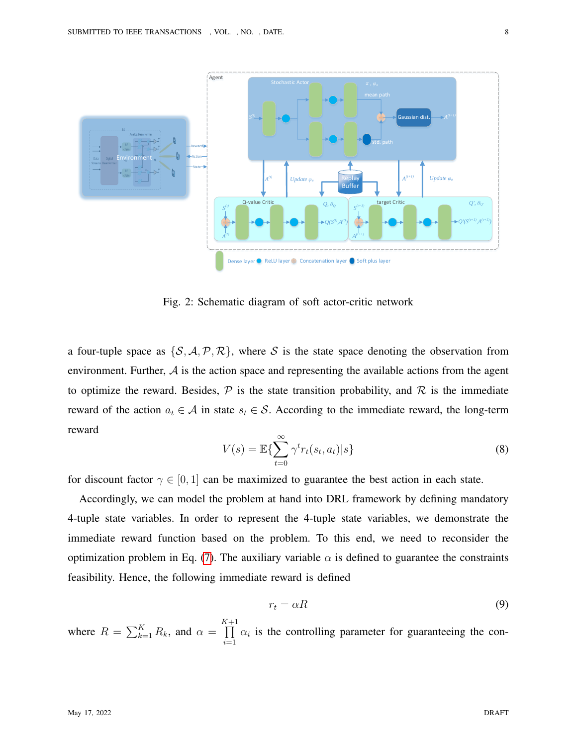<span id="page-7-0"></span>

Fig. 2: Schematic diagram of soft actor-critic network

a four-tuple space as  $\{S, A, P, R\}$ , where S is the state space denoting the observation from environment. Further,  $A$  is the action space and representing the available actions from the agent to optimize the reward. Besides,  $\mathcal P$  is the state transition probability, and  $\mathcal R$  is the immediate reward of the action  $a_t \in A$  in state  $s_t \in S$ . According to the immediate reward, the long-term reward

$$
V(s) = \mathbb{E}\left\{\sum_{t=0}^{\infty} \gamma^t r_t(s_t, a_t) | s\right\}
$$
\n(8)

for discount factor  $\gamma \in [0, 1]$  can be maximized to guarantee the best action in each state.

Accordingly, we can model the problem at hand into DRL framework by defining mandatory 4-tuple state variables. In order to represent the 4-tuple state variables, we demonstrate the immediate reward function based on the problem. To this end, we need to reconsider the optimization problem in Eq. [\(7\)](#page-6-0). The auxiliary variable  $\alpha$  is defined to guarantee the constraints feasibility. Hence, the following immediate reward is defined

$$
r_t = \alpha R \tag{9}
$$

where  $R = \sum_{k=1}^{K} R_k$ , and  $\alpha =$  $\prod^{K+1}$  $i=1$  $\alpha_i$  is the controlling parameter for guaranteeing the con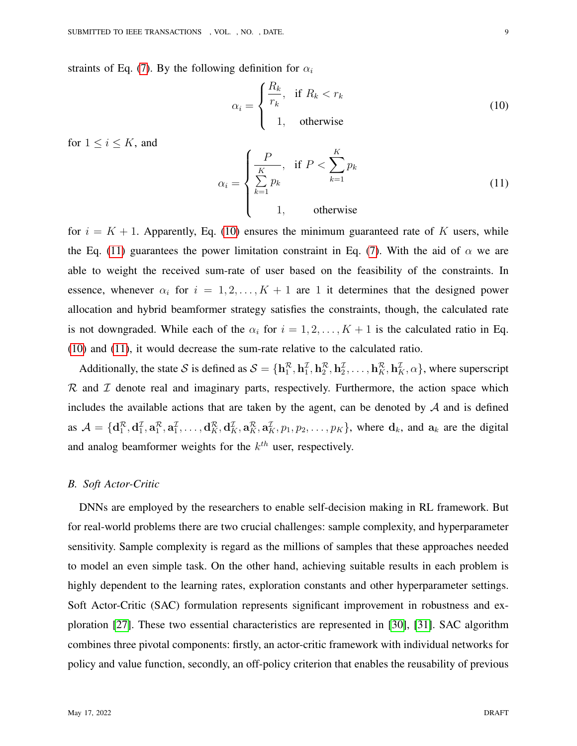straints of Eq. [\(7\)](#page-6-0). By the following definition for  $\alpha_i$ 

<span id="page-8-0"></span>
$$
\alpha_i = \begin{cases} \frac{R_k}{r_k}, & \text{if } R_k < r_k \\ 1, & \text{otherwise} \end{cases} \tag{10}
$$

for  $1 \leq i \leq K$ , and

<span id="page-8-1"></span>
$$
\alpha_i = \begin{cases} \frac{P}{\sum\limits_{k=1}^{K} p_k}, & \text{if } P < \sum\limits_{k=1}^{K} p_k \\ 1, & \text{otherwise} \end{cases}
$$
(11)

for  $i = K + 1$ . Apparently, Eq. [\(10\)](#page-8-0) ensures the minimum guaranteed rate of K users, while the Eq. [\(11\)](#page-8-1) guarantees the power limitation constraint in Eq. [\(7\)](#page-6-0). With the aid of  $\alpha$  we are able to weight the received sum-rate of user based on the feasibility of the constraints. In essence, whenever  $\alpha_i$  for  $i = 1, 2, ..., K + 1$  are 1 it determines that the designed power allocation and hybrid beamformer strategy satisfies the constraints, though, the calculated rate is not downgraded. While each of the  $\alpha_i$  for  $i = 1, 2, \ldots, K + 1$  is the calculated ratio in Eq. [\(10\)](#page-8-0) and [\(11\)](#page-8-1), it would decrease the sum-rate relative to the calculated ratio.

Additionally, the state S is defined as  $S = {\bf h}_1^{\mathcal{R}}, {\bf h}_2^{\mathcal{I}}, {\bf h}_2^{\mathcal{R}}, {\bf h}_2^{\mathcal{I}}, \ldots, {\bf h}_K^{\mathcal{R}}, {\bf h}_K^{\mathcal{I}}, \alpha$ , where superscript  $R$  and  $I$  denote real and imaginary parts, respectively. Furthermore, the action space which includes the available actions that are taken by the agent, can be denoted by  $A$  and is defined as  $A = \{d_1^R, d_1^I, a_1^R, a_1^I, \ldots, d_K^R, d_K^I, a_K^R, a_K^I, p_1, p_2, \ldots, p_K\}$ , where  $d_k$ , and  $a_k$  are the digital and analog beamformer weights for the  $k^{th}$  user, respectively.

## *B. Soft Actor-Critic*

DNNs are employed by the researchers to enable self-decision making in RL framework. But for real-world problems there are two crucial challenges: sample complexity, and hyperparameter sensitivity. Sample complexity is regard as the millions of samples that these approaches needed to model an even simple task. On the other hand, achieving suitable results in each problem is highly dependent to the learning rates, exploration constants and other hyperparameter settings. Soft Actor-Critic (SAC) formulation represents significant improvement in robustness and exploration [\[27\]](#page-19-0). These two essential characteristics are represented in [\[30\]](#page-19-4), [\[31\]](#page-19-5). SAC algorithm combines three pivotal components: firstly, an actor-critic framework with individual networks for policy and value function, secondly, an off-policy criterion that enables the reusability of previous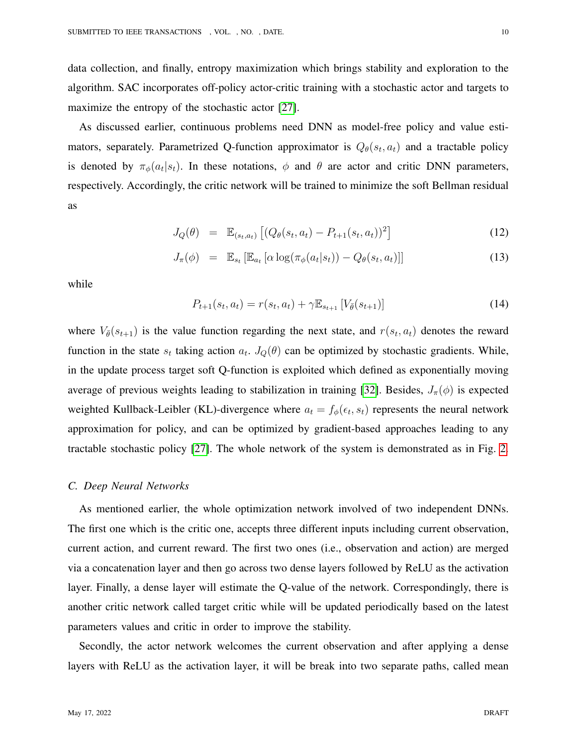data collection, and finally, entropy maximization which brings stability and exploration to the algorithm. SAC incorporates off-policy actor-critic training with a stochastic actor and targets to maximize the entropy of the stochastic actor [\[27\]](#page-19-0).

As discussed earlier, continuous problems need DNN as model-free policy and value estimators, separately. Parametrized Q-function approximator is  $Q_{\theta}(s_t, a_t)$  and a tractable policy is denoted by  $\pi_{\phi}(a_t|s_t)$ . In these notations,  $\phi$  and  $\theta$  are actor and critic DNN parameters, respectively. Accordingly, the critic network will be trained to minimize the soft Bellman residual as

$$
J_Q(\theta) = \mathbb{E}_{(s_t, a_t)} [(Q_{\theta}(s_t, a_t) - P_{t+1}(s_t, a_t))^2]
$$
\n(12)

$$
J_{\pi}(\phi) = \mathbb{E}_{s_t} \left[ \mathbb{E}_{a_t} \left[ \alpha \log(\pi_{\phi}(a_t|s_t)) - Q_{\theta}(s_t, a_t) \right] \right] \tag{13}
$$

while

$$
P_{t+1}(s_t, a_t) = r(s_t, a_t) + \gamma \mathbb{E}_{s_{t+1}} \left[ V_{\bar{\theta}}(s_{t+1}) \right]
$$
\n(14)

where  $V_{\bar{\theta}}(s_{t+1})$  is the value function regarding the next state, and  $r(s_t, a_t)$  denotes the reward function in the state  $s_t$  taking action  $a_t$ .  $J_Q(\theta)$  can be optimized by stochastic gradients. While, in the update process target soft Q-function is exploited which defined as exponentially moving average of previous weights leading to stabilization in training [\[32\]](#page-19-6). Besides,  $J_{\pi}(\phi)$  is expected weighted Kullback-Leibler (KL)-divergence where  $a_t = f_{\phi}(\epsilon_t, s_t)$  represents the neural network approximation for policy, and can be optimized by gradient-based approaches leading to any tractable stochastic policy [\[27\]](#page-19-0). The whole network of the system is demonstrated as in Fig. [2.](#page-7-0)

## *C. Deep Neural Networks*

As mentioned earlier, the whole optimization network involved of two independent DNNs. The first one which is the critic one, accepts three different inputs including current observation, current action, and current reward. The first two ones (i.e., observation and action) are merged via a concatenation layer and then go across two dense layers followed by ReLU as the activation layer. Finally, a dense layer will estimate the Q-value of the network. Correspondingly, there is another critic network called target critic while will be updated periodically based on the latest parameters values and critic in order to improve the stability.

Secondly, the actor network welcomes the current observation and after applying a dense layers with ReLU as the activation layer, it will be break into two separate paths, called mean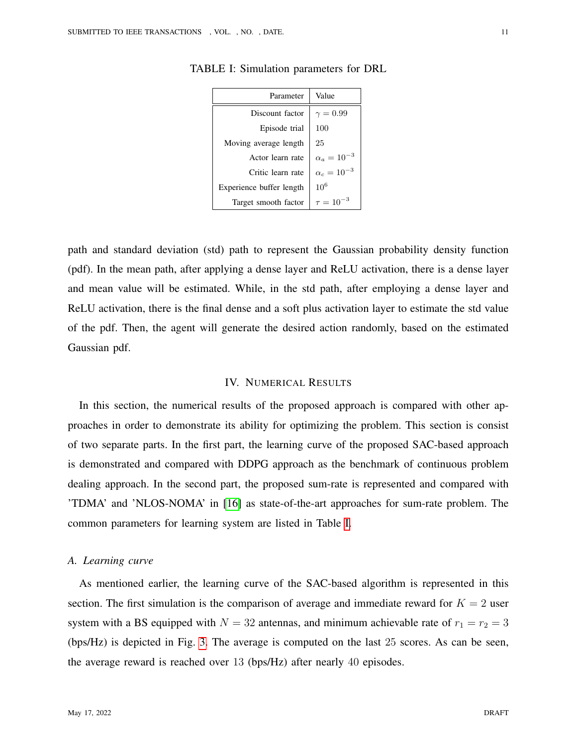| Parameter                | Value             |
|--------------------------|-------------------|
| Discount factor          | $\gamma = 0.99$   |
| Episode trial            | 100               |
| Moving average length    | 25                |
| Actor learn rate         | $\alpha_a=10$     |
| Critic learn rate        | $\alpha_c=10^{-}$ |
| Experience buffer length | 10 <sup>6</sup>   |
| Target smooth factor     | $\tau = 10^\circ$ |

<span id="page-10-0"></span>TABLE I: Simulation parameters for DRL

path and standard deviation (std) path to represent the Gaussian probability density function (pdf). In the mean path, after applying a dense layer and ReLU activation, there is a dense layer and mean value will be estimated. While, in the std path, after employing a dense layer and ReLU activation, there is the final dense and a soft plus activation layer to estimate the std value of the pdf. Then, the agent will generate the desired action randomly, based on the estimated Gaussian pdf.

## IV. NUMERICAL RESULTS

In this section, the numerical results of the proposed approach is compared with other approaches in order to demonstrate its ability for optimizing the problem. This section is consist of two separate parts. In the first part, the learning curve of the proposed SAC-based approach is demonstrated and compared with DDPG approach as the benchmark of continuous problem dealing approach. In the second part, the proposed sum-rate is represented and compared with 'TDMA' and 'NLOS-NOMA' in [\[16\]](#page-18-5) as state-of-the-art approaches for sum-rate problem. The common parameters for learning system are listed in Table [I.](#page-10-0)

## *A. Learning curve*

As mentioned earlier, the learning curve of the SAC-based algorithm is represented in this section. The first simulation is the comparison of average and immediate reward for  $K = 2$  user system with a BS equipped with  $N = 32$  antennas, and minimum achievable rate of  $r_1 = r_2 = 3$ (bps/Hz) is depicted in Fig. [3.](#page-11-0) The average is computed on the last 25 scores. As can be seen, the average reward is reached over 13 (bps/Hz) after nearly 40 episodes.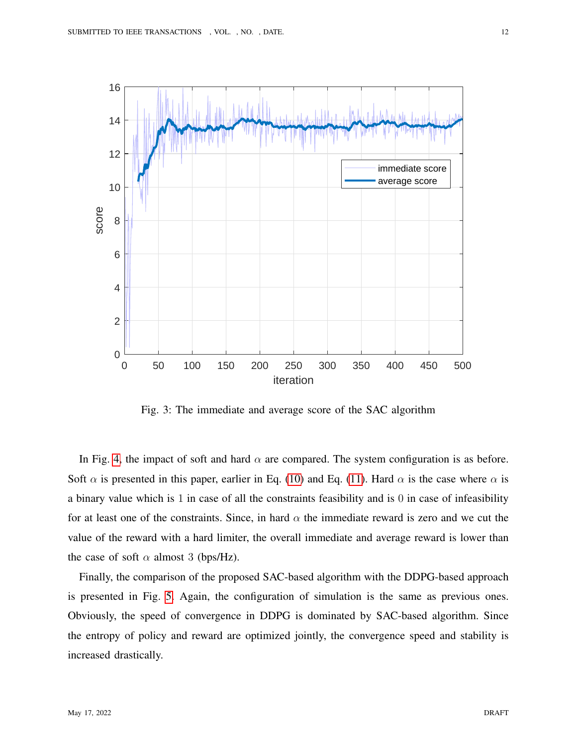<span id="page-11-0"></span>

Fig. 3: The immediate and average score of the SAC algorithm

In Fig. [4,](#page-12-0) the impact of soft and hard  $\alpha$  are compared. The system configuration is as before. Soft  $\alpha$  is presented in this paper, earlier in Eq. [\(10\)](#page-8-0) and Eq. [\(11\)](#page-8-1). Hard  $\alpha$  is the case where  $\alpha$  is a binary value which is 1 in case of all the constraints feasibility and is 0 in case of infeasibility for at least one of the constraints. Since, in hard  $\alpha$  the immediate reward is zero and we cut the value of the reward with a hard limiter, the overall immediate and average reward is lower than the case of soft  $\alpha$  almost 3 (bps/Hz).

Finally, the comparison of the proposed SAC-based algorithm with the DDPG-based approach is presented in Fig. [5.](#page-13-0) Again, the configuration of simulation is the same as previous ones. Obviously, the speed of convergence in DDPG is dominated by SAC-based algorithm. Since the entropy of policy and reward are optimized jointly, the convergence speed and stability is increased drastically.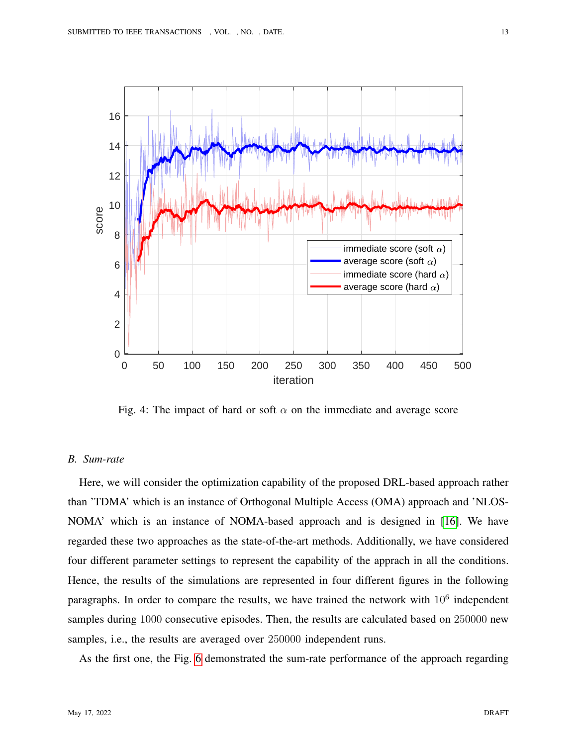<span id="page-12-0"></span>

Fig. 4: The impact of hard or soft  $\alpha$  on the immediate and average score

# *B. Sum-rate*

Here, we will consider the optimization capability of the proposed DRL-based approach rather than 'TDMA' which is an instance of Orthogonal Multiple Access (OMA) approach and 'NLOS-NOMA' which is an instance of NOMA-based approach and is designed in [\[16\]](#page-18-5). We have regarded these two approaches as the state-of-the-art methods. Additionally, we have considered four different parameter settings to represent the capability of the apprach in all the conditions. Hence, the results of the simulations are represented in four different figures in the following paragraphs. In order to compare the results, we have trained the network with  $10<sup>6</sup>$  independent samples during 1000 consecutive episodes. Then, the results are calculated based on 250000 new samples, i.e., the results are averaged over 250000 independent runs.

As the first one, the Fig. [6](#page-14-0) demonstrated the sum-rate performance of the approach regarding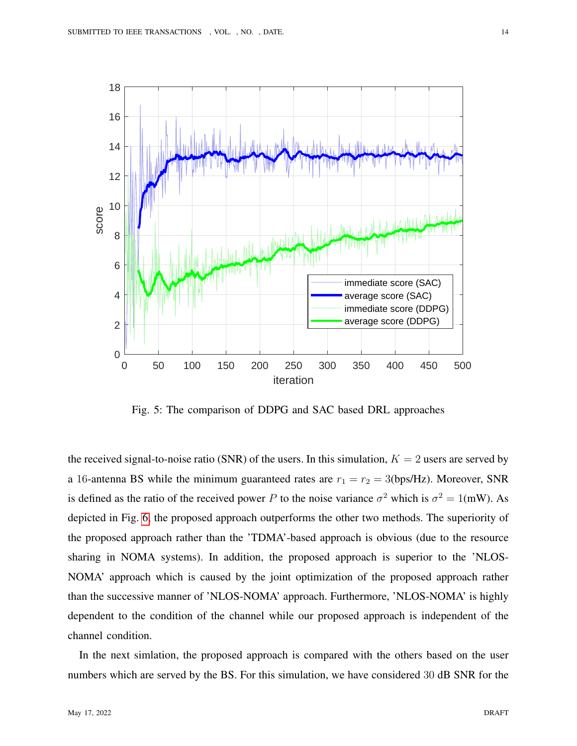<span id="page-13-0"></span>

Fig. 5: The comparison of DDPG and SAC based DRL approaches

the received signal-to-noise ratio (SNR) of the users. In this simulation,  $K = 2$  users are served by a 16-antenna BS while the minimum guaranteed rates are  $r_1 = r_2 = 3$ (bps/Hz). Moreover, SNR is defined as the ratio of the received power P to the noise variance  $\sigma^2$  which is  $\sigma^2 = 1$ (mW). As depicted in Fig. [6,](#page-14-0) the proposed approach outperforms the other two methods. The superiority of the proposed approach rather than the 'TDMA'-based approach is obvious (due to the resource sharing in NOMA systems). In addition, the proposed approach is superior to the 'NLOS-NOMA' approach which is caused by the joint optimization of the proposed approach rather than the successive manner of 'NLOS-NOMA' approach. Furthermore, 'NLOS-NOMA' is highly dependent to the condition of the channel while our proposed approach is independent of the channel condition.

In the next simlation, the proposed approach is compared with the others based on the user numbers which are served by the BS. For this simulation, we have considered 30 dB SNR for the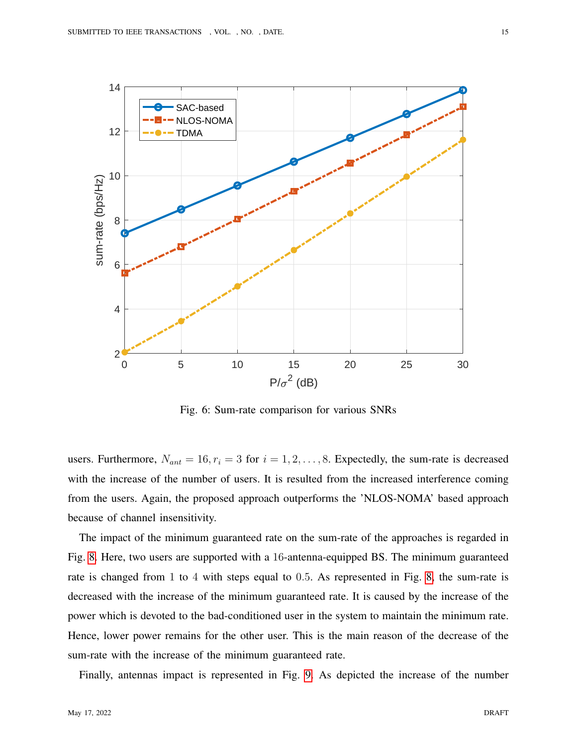<span id="page-14-0"></span>

Fig. 6: Sum-rate comparison for various SNRs

users. Furthermore,  $N_{ant} = 16, r_i = 3$  for  $i = 1, 2, ..., 8$ . Expectedly, the sum-rate is decreased with the increase of the number of users. It is resulted from the increased interference coming from the users. Again, the proposed approach outperforms the 'NLOS-NOMA' based approach because of channel insensitivity.

The impact of the minimum guaranteed rate on the sum-rate of the approaches is regarded in Fig. [8.](#page-16-1) Here, two users are supported with a 16-antenna-equipped BS. The minimum guaranteed rate is changed from 1 to 4 with steps equal to 0.5. As represented in Fig. [8,](#page-16-1) the sum-rate is decreased with the increase of the minimum guaranteed rate. It is caused by the increase of the power which is devoted to the bad-conditioned user in the system to maintain the minimum rate. Hence, lower power remains for the other user. This is the main reason of the decrease of the sum-rate with the increase of the minimum guaranteed rate.

Finally, antennas impact is represented in Fig. [9.](#page-17-4) As depicted the increase of the number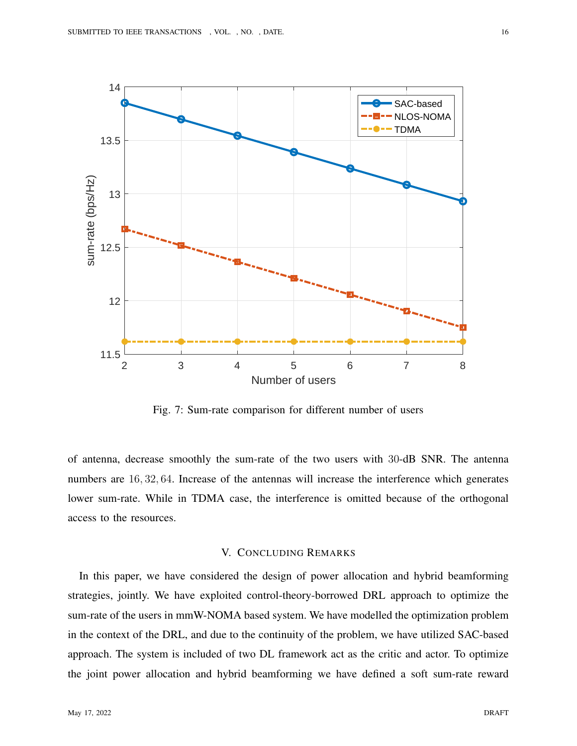

Fig. 7: Sum-rate comparison for different number of users

of antenna, decrease smoothly the sum-rate of the two users with 30-dB SNR. The antenna numbers are 16, 32, 64. Increase of the antennas will increase the interference which generates lower sum-rate. While in TDMA case, the interference is omitted because of the orthogonal access to the resources.

## V. CONCLUDING REMARKS

In this paper, we have considered the design of power allocation and hybrid beamforming strategies, jointly. We have exploited control-theory-borrowed DRL approach to optimize the sum-rate of the users in mmW-NOMA based system. We have modelled the optimization problem in the context of the DRL, and due to the continuity of the problem, we have utilized SAC-based approach. The system is included of two DL framework act as the critic and actor. To optimize the joint power allocation and hybrid beamforming we have defined a soft sum-rate reward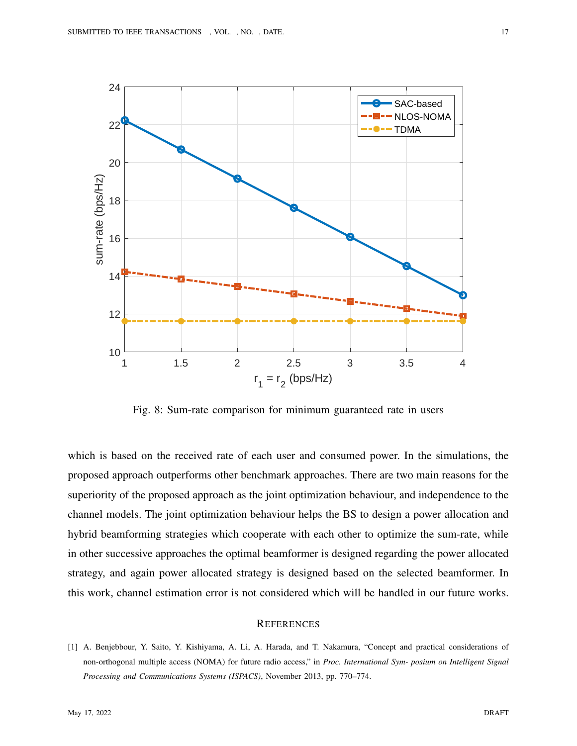<span id="page-16-1"></span>

Fig. 8: Sum-rate comparison for minimum guaranteed rate in users

which is based on the received rate of each user and consumed power. In the simulations, the proposed approach outperforms other benchmark approaches. There are two main reasons for the superiority of the proposed approach as the joint optimization behaviour, and independence to the channel models. The joint optimization behaviour helps the BS to design a power allocation and hybrid beamforming strategies which cooperate with each other to optimize the sum-rate, while in other successive approaches the optimal beamformer is designed regarding the power allocated strategy, and again power allocated strategy is designed based on the selected beamformer. In this work, channel estimation error is not considered which will be handled in our future works.

# **REFERENCES**

<span id="page-16-0"></span>[1] A. Benjebbour, Y. Saito, Y. Kishiyama, A. Li, A. Harada, and T. Nakamura, "Concept and practical considerations of non-orthogonal multiple access (NOMA) for future radio access," in *Proc. International Sym- posium on Intelligent Signal Processing and Communications Systems (ISPACS)*, November 2013, pp. 770–774.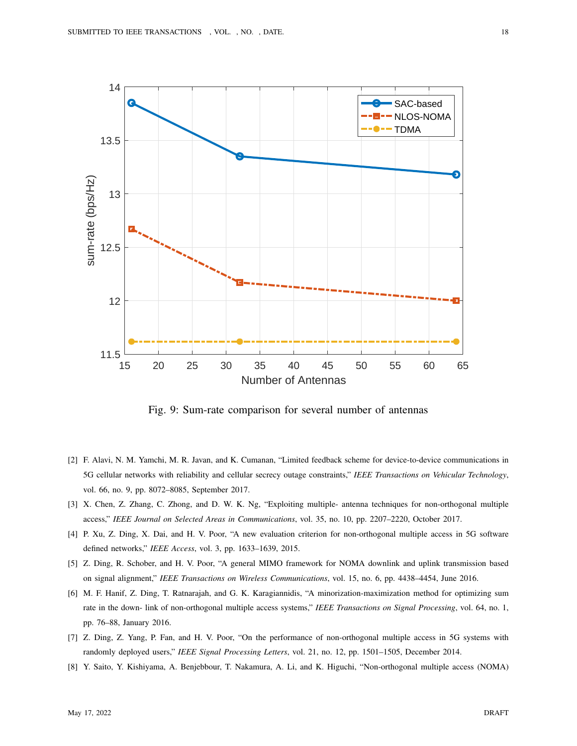<span id="page-17-4"></span>

Fig. 9: Sum-rate comparison for several number of antennas

- <span id="page-17-0"></span>[2] F. Alavi, N. M. Yamchi, M. R. Javan, and K. Cumanan, "Limited feedback scheme for device-to-device communications in 5G cellular networks with reliability and cellular secrecy outage constraints," *IEEE Transactions on Vehicular Technology*, vol. 66, no. 9, pp. 8072–8085, September 2017.
- <span id="page-17-1"></span>[3] X. Chen, Z. Zhang, C. Zhong, and D. W. K. Ng, "Exploiting multiple- antenna techniques for non-orthogonal multiple access," *IEEE Journal on Selected Areas in Communications*, vol. 35, no. 10, pp. 2207–2220, October 2017.
- [4] P. Xu, Z. Ding, X. Dai, and H. V. Poor, "A new evaluation criterion for non-orthogonal multiple access in 5G software defined networks," *IEEE Access*, vol. 3, pp. 1633–1639, 2015.
- [5] Z. Ding, R. Schober, and H. V. Poor, "A general MIMO framework for NOMA downlink and uplink transmission based on signal alignment," *IEEE Transactions on Wireless Communications*, vol. 15, no. 6, pp. 4438–4454, June 2016.
- <span id="page-17-2"></span>[6] M. F. Hanif, Z. Ding, T. Ratnarajah, and G. K. Karagiannidis, "A minorization-maximization method for optimizing sum rate in the down- link of non-orthogonal multiple access systems," *IEEE Transactions on Signal Processing*, vol. 64, no. 1, pp. 76–88, January 2016.
- <span id="page-17-3"></span>[7] Z. Ding, Z. Yang, P. Fan, and H. V. Poor, "On the performance of non-orthogonal multiple access in 5G systems with randomly deployed users," *IEEE Signal Processing Letters*, vol. 21, no. 12, pp. 1501–1505, December 2014.
- [8] Y. Saito, Y. Kishiyama, A. Benjebbour, T. Nakamura, A. Li, and K. Higuchi, "Non-orthogonal multiple access (NOMA)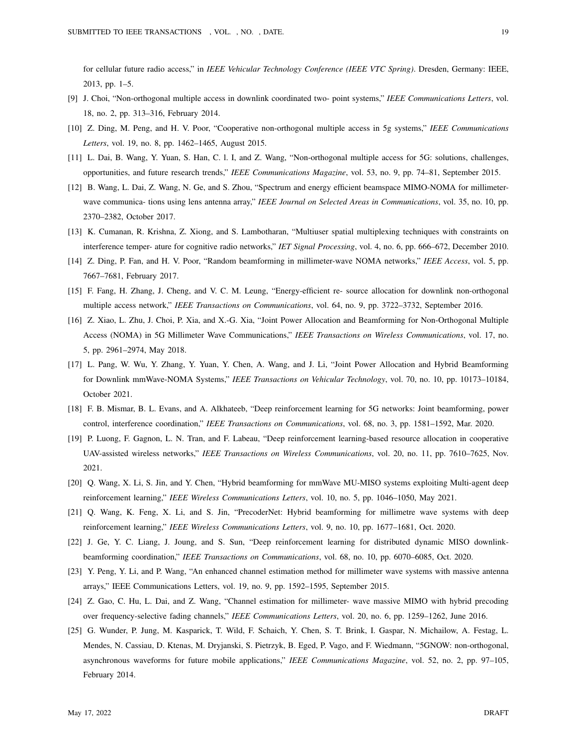for cellular future radio access," in *IEEE Vehicular Technology Conference (IEEE VTC Spring)*. Dresden, Germany: IEEE, 2013, pp. 1–5.

- [9] J. Choi, "Non-orthogonal multiple access in downlink coordinated two- point systems," *IEEE Communications Letters*, vol. 18, no. 2, pp. 313–316, February 2014.
- [10] Z. Ding, M. Peng, and H. V. Poor, "Cooperative non-orthogonal multiple access in 5g systems," *IEEE Communications Letters*, vol. 19, no. 8, pp. 1462–1465, August 2015.
- <span id="page-18-1"></span>[11] L. Dai, B. Wang, Y. Yuan, S. Han, C. l. I, and Z. Wang, "Non-orthogonal multiple access for 5G: solutions, challenges, opportunities, and future research trends," *IEEE Communications Magazine*, vol. 53, no. 9, pp. 74–81, September 2015.
- <span id="page-18-0"></span>[12] B. Wang, L. Dai, Z. Wang, N. Ge, and S. Zhou, "Spectrum and energy efficient beamspace MIMO-NOMA for millimeterwave communica- tions using lens antenna array," *IEEE Journal on Selected Areas in Communications*, vol. 35, no. 10, pp. 2370–2382, October 2017.
- <span id="page-18-2"></span>[13] K. Cumanan, R. Krishna, Z. Xiong, and S. Lambotharan, "Multiuser spatial multiplexing techniques with constraints on interference temper- ature for cognitive radio networks," *IET Signal Processing*, vol. 4, no. 6, pp. 666–672, December 2010.
- <span id="page-18-3"></span>[14] Z. Ding, P. Fan, and H. V. Poor, "Random beamforming in millimeter-wave NOMA networks," *IEEE Access*, vol. 5, pp. 7667–7681, February 2017.
- <span id="page-18-4"></span>[15] F. Fang, H. Zhang, J. Cheng, and V. C. M. Leung, "Energy-efficient re- source allocation for downlink non-orthogonal multiple access network," *IEEE Transactions on Communications*, vol. 64, no. 9, pp. 3722–3732, September 2016.
- <span id="page-18-5"></span>[16] Z. Xiao, L. Zhu, J. Choi, P. Xia, and X.-G. Xia, "Joint Power Allocation and Beamforming for Non-Orthogonal Multiple Access (NOMA) in 5G Millimeter Wave Communications," *IEEE Transactions on Wireless Communications*, vol. 17, no. 5, pp. 2961–2974, May 2018.
- <span id="page-18-6"></span>[17] L. Pang, W. Wu, Y. Zhang, Y. Yuan, Y. Chen, A. Wang, and J. Li, "Joint Power Allocation and Hybrid Beamforming for Downlink mmWave-NOMA Systems," *IEEE Transactions on Vehicular Technology*, vol. 70, no. 10, pp. 10173–10184, October 2021.
- <span id="page-18-7"></span>[18] F. B. Mismar, B. L. Evans, and A. Alkhateeb, "Deep reinforcement learning for 5G networks: Joint beamforming, power control, interference coordination," *IEEE Transactions on Communications*, vol. 68, no. 3, pp. 1581–1592, Mar. 2020.
- <span id="page-18-9"></span>[19] P. Luong, F. Gagnon, L. N. Tran, and F. Labeau, "Deep reinforcement learning-based resource allocation in cooperative UAV-assisted wireless networks," *IEEE Transactions on Wireless Communications*, vol. 20, no. 11, pp. 7610–7625, Nov. 2021.
- <span id="page-18-10"></span>[20] Q. Wang, X. Li, S. Jin, and Y. Chen, "Hybrid beamforming for mmWave MU-MISO systems exploiting Multi-agent deep reinforcement learning," *IEEE Wireless Communications Letters*, vol. 10, no. 5, pp. 1046–1050, May 2021.
- <span id="page-18-11"></span>[21] Q. Wang, K. Feng, X. Li, and S. Jin, "PrecoderNet: Hybrid beamforming for millimetre wave systems with deep reinforcement learning," *IEEE Wireless Communications Letters*, vol. 9, no. 10, pp. 1677–1681, Oct. 2020.
- <span id="page-18-8"></span>[22] J. Ge, Y. C. Liang, J. Joung, and S. Sun, "Deep reinforcement learning for distributed dynamic MISO downlinkbeamforming coordination," *IEEE Transactions on Communications*, vol. 68, no. 10, pp. 6070–6085, Oct. 2020.
- <span id="page-18-12"></span>[23] Y. Peng, Y. Li, and P. Wang, "An enhanced channel estimation method for millimeter wave systems with massive antenna arrays," IEEE Communications Letters, vol. 19, no. 9, pp. 1592–1595, September 2015.
- <span id="page-18-13"></span>[24] Z. Gao, C. Hu, L. Dai, and Z. Wang, "Channel estimation for millimeter- wave massive MIMO with hybrid precoding over frequency-selective fading channels," *IEEE Communications Letters*, vol. 20, no. 6, pp. 1259–1262, June 2016.
- <span id="page-18-14"></span>[25] G. Wunder, P. Jung, M. Kasparick, T. Wild, F. Schaich, Y. Chen, S. T. Brink, I. Gaspar, N. Michailow, A. Festag, L. Mendes, N. Cassiau, D. Ktenas, M. Dryjanski, S. Pietrzyk, B. Eged, P. Vago, and F. Wiedmann, "5GNOW: non-orthogonal, asynchronous waveforms for future mobile applications," *IEEE Communications Magazine*, vol. 52, no. 2, pp. 97–105, February 2014.